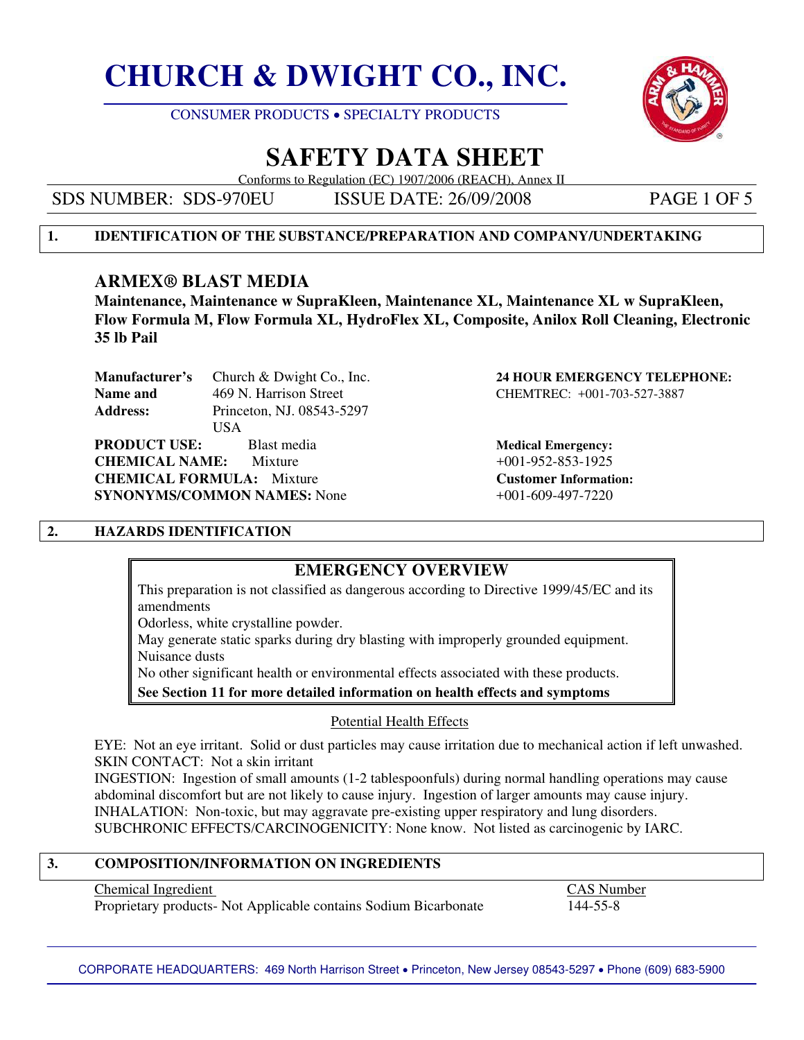



## **SAFETY DATA SHEET**

Conforms to Regulation (EC) 1907/2006 (REACH), Annex II

SDS NUMBER: SDS-970EU ISSUE DATE: 26/09/2008 PAGE 1 OF 5

#### **1. IDENTIFICATION OF THE SUBSTANCE/PREPARATION AND COMPANY/UNDERTAKING**

### **ARMEX® BLAST MEDIA**

**Maintenance, Maintenance w SupraKleen, Maintenance XL, Maintenance XL w SupraKleen, Flow Formula M, Flow Formula XL, HydroFlex XL, Composite, Anilox Roll Cleaning, Electronic 35 lb Pail** 

**Manufacturer's** Church & Dwight Co., Inc. **24 HOUR EMERGENCY TELEPHONE: Name and 269 N. Harrison Street CHEMTREC: +001-703-527-3887 Address:** Princeton, NJ. 08543-5297 USA

**PRODUCT USE:** Blast media **Blast media Medical Emergency: CHEMICAL NAME:** Mixture  $+001-952-853-1925$ **CHEMICAL FORMULA:** Mixture **Customer Information: SYNONYMS/COMMON NAMES:** None  $+001-609-497-7220$ 

# 

### **2. HAZARDS IDENTIFICATION**

### **EMERGENCY OVERVIEW**

This preparation is not classified as dangerous according to Directive 1999/45/EC and its amendments

Odorless, white crystalline powder.

May generate static sparks during dry blasting with improperly grounded equipment. Nuisance dusts

No other significant health or environmental effects associated with these products.

**See Section 11 for more detailed information on health effects and symptoms** 

#### Potential Health Effects

 EYE: Not an eye irritant. Solid or dust particles may cause irritation due to mechanical action if left unwashed. SKIN CONTACT: Not a skin irritant

 INGESTION: Ingestion of small amounts (1-2 tablespoonfuls) during normal handling operations may cause abdominal discomfort but are not likely to cause injury. Ingestion of larger amounts may cause injury. INHALATION: Non-toxic, but may aggravate pre-existing upper respiratory and lung disorders. SUBCHRONIC EFFECTS/CARCINOGENICITY: None know. Not listed as carcinogenic by IARC.

#### **3. COMPOSITION/INFORMATION ON INGREDIENTS**

#### Chemical Ingredient CAS Number

Proprietary products- Not Applicable contains Sodium Bicarbonate 144-55-8

CORPORATE HEADQUARTERS: 469 North Harrison Street • Princeton, New Jersey 08543-5297 • Phone (609) 683-5900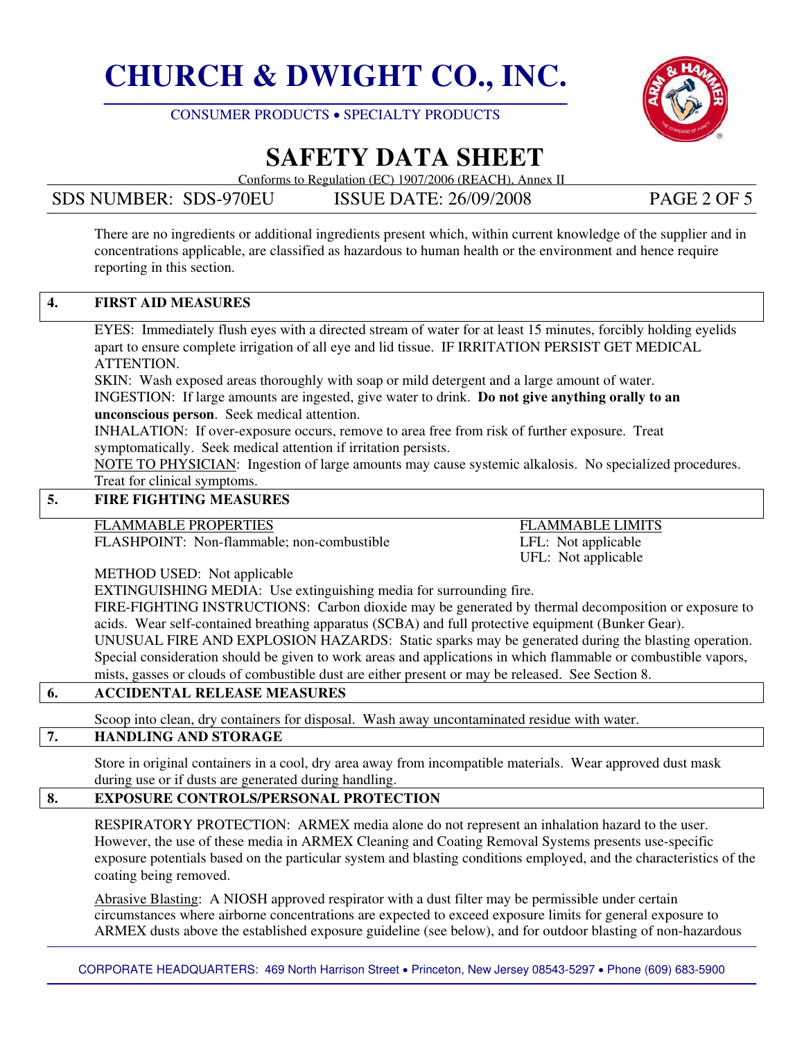



# **SAFETY DATA SHEET**

Conforms to Regulation (EC) 1907/2006 (REACH), Annex II

SDS NUMBER: SDS-970EU ISSUE DATE: 26/09/2008 PAGE 2 OF 5

There are no ingredients or additional ingredients present which, within current knowledge of the supplier and in concentrations applicable, are classified as hazardous to human health or the environment and hence require reporting in this section.

### **4. FIRST AID MEASURES**

 EYES: Immediately flush eyes with a directed stream of water for at least 15 minutes, forcibly holding eyelids apart to ensure complete irrigation of all eye and lid tissue. IF IRRITATION PERSIST GET MEDICAL ATTENTION.

 SKIN: Wash exposed areas thoroughly with soap or mild detergent and a large amount of water. INGESTION: If large amounts are ingested, give water to drink. **Do not give anything orally to an unconscious person**. Seek medical attention.

 INHALATION: If over-exposure occurs, remove to area free from risk of further exposure. Treat symptomatically. Seek medical attention if irritation persists.

NOTE TO PHYSICIAN: Ingestion of large amounts may cause systemic alkalosis. No specialized procedures. Treat for clinical symptoms.

#### **5. FIRE FIGHTING MEASURES**

FLAMMABLE PROPERTIES<br>FLASHPOINT: Non-flammable; non-combustible<br>LFL: Not applicable<br>LFL: Not applicable FLASHPOINT: Non-flammable; non-combustible

UFL: Not applicable

METHOD USED: Not applicable

EXTINGUISHING MEDIA: Use extinguishing media for surrounding fire.

 FIRE-FIGHTING INSTRUCTIONS: Carbon dioxide may be generated by thermal decomposition or exposure to acids. Wear self-contained breathing apparatus (SCBA) and full protective equipment (Bunker Gear). UNUSUAL FIRE AND EXPLOSION HAZARDS: Static sparks may be generated during the blasting operation. Special consideration should be given to work areas and applications in which flammable or combustible vapors, mists, gasses or clouds of combustible dust are either present or may be released. See Section 8.

#### **6. ACCIDENTAL RELEASE MEASURES**

Scoop into clean, dry containers for disposal. Wash away uncontaminated residue with water.

#### **7. HANDLING AND STORAGE**

 Store in original containers in a cool, dry area away from incompatible materials. Wear approved dust mask during use or if dusts are generated during handling.

#### **8. EXPOSURE CONTROLS/PERSONAL PROTECTION**

 RESPIRATORY PROTECTION: ARMEX media alone do not represent an inhalation hazard to the user. However, the use of these media in ARMEX Cleaning and Coating Removal Systems presents use-specific exposure potentials based on the particular system and blasting conditions employed, and the characteristics of the coating being removed.

Abrasive Blasting: A NIOSH approved respirator with a dust filter may be permissible under certain circumstances where airborne concentrations are expected to exceed exposure limits for general exposure to ARMEX dusts above the established exposure guideline (see below), and for outdoor blasting of non-hazardous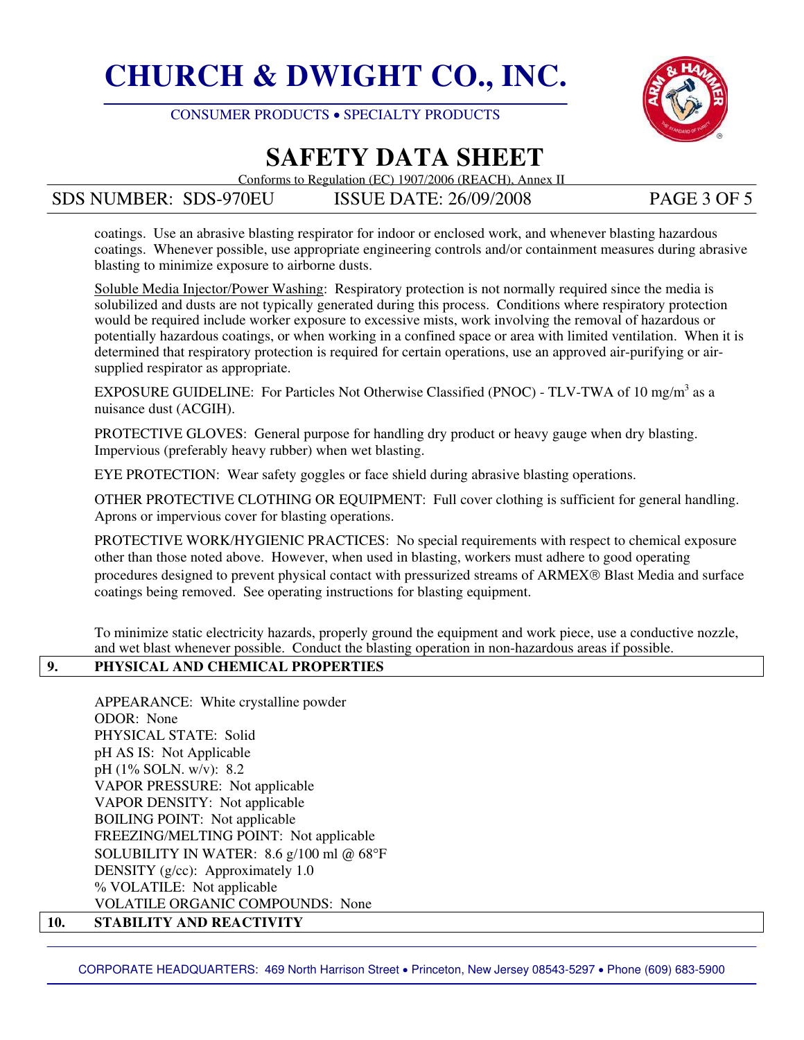



## **SAFETY DATA SHEET**

Conforms to Regulation (EC) 1907/2006 (REACH), Annex II

SDS NUMBER: SDS-970EU ISSUE DATE: 26/09/2008 PAGE 3 OF 5

coatings. Use an abrasive blasting respirator for indoor or enclosed work, and whenever blasting hazardous coatings. Whenever possible, use appropriate engineering controls and/or containment measures during abrasive blasting to minimize exposure to airborne dusts.

Soluble Media Injector/Power Washing: Respiratory protection is not normally required since the media is solubilized and dusts are not typically generated during this process. Conditions where respiratory protection would be required include worker exposure to excessive mists, work involving the removal of hazardous or potentially hazardous coatings, or when working in a confined space or area with limited ventilation. When it is determined that respiratory protection is required for certain operations, use an approved air-purifying or airsupplied respirator as appropriate.

EXPOSURE GUIDELINE: For Particles Not Otherwise Classified (PNOC) - TLV-TWA of 10 mg/m<sup>3</sup> as a nuisance dust (ACGIH).

PROTECTIVE GLOVES: General purpose for handling dry product or heavy gauge when dry blasting. Impervious (preferably heavy rubber) when wet blasting.

EYE PROTECTION: Wear safety goggles or face shield during abrasive blasting operations.

OTHER PROTECTIVE CLOTHING OR EQUIPMENT: Full cover clothing is sufficient for general handling. Aprons or impervious cover for blasting operations.

 PROTECTIVE WORK/HYGIENIC PRACTICES: No special requirements with respect to chemical exposure other than those noted above. However, when used in blasting, workers must adhere to good operating procedures designed to prevent physical contact with pressurized streams of ARMEX® Blast Media and surface coatings being removed. See operating instructions for blasting equipment.

 To minimize static electricity hazards, properly ground the equipment and work piece, use a conductive nozzle, and wet blast whenever possible. Conduct the blasting operation in non-hazardous areas if possible.

#### **9. PHYSICAL AND CHEMICAL PROPERTIES**

 APPEARANCE: White crystalline powder ODOR: None PHYSICAL STATE: Solid pH AS IS: Not Applicable pH (1% SOLN. w/v): 8.2 VAPOR PRESSURE: Not applicable VAPOR DENSITY: Not applicable BOILING POINT: Not applicable FREEZING/MELTING POINT: Not applicable SOLUBILITY IN WATER: 8.6 g/100 ml @ 68°F DENSITY (g/cc): Approximately 1.0 % VOLATILE: Not applicable VOLATILE ORGANIC COMPOUNDS: None

#### **10. STABILITY AND REACTIVITY**

CORPORATE HEADQUARTERS: 469 North Harrison Street • Princeton, New Jersey 08543-5297 • Phone (609) 683-5900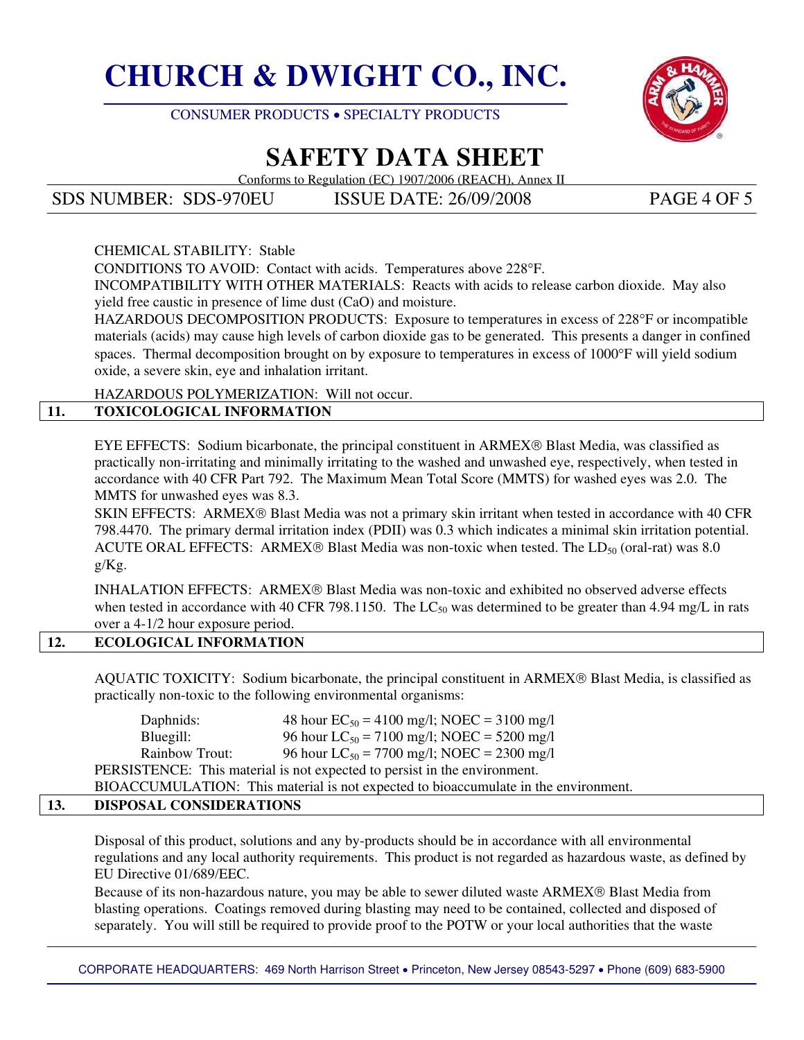



# **SAFETY DATA SHEET**

Conforms to Regulation (EC) 1907/2006 (REACH), Annex II

SDS NUMBER: SDS-970EU ISSUE DATE: 26/09/2008 PAGE 4 OF 5

#### CHEMICAL STABILITY: Stable

CONDITIONS TO AVOID: Contact with acids. Temperatures above 228°F.

 INCOMPATIBILITY WITH OTHER MATERIALS: Reacts with acids to release carbon dioxide. May also yield free caustic in presence of lime dust (CaO) and moisture.

 HAZARDOUS DECOMPOSITION PRODUCTS: Exposure to temperatures in excess of 228°F or incompatible materials (acids) may cause high levels of carbon dioxide gas to be generated. This presents a danger in confined spaces. Thermal decomposition brought on by exposure to temperatures in excess of 1000°F will yield sodium oxide, a severe skin, eye and inhalation irritant.

HAZARDOUS POLYMERIZATION: Will not occur.

### **11. TOXICOLOGICAL INFORMATION**

 EYE EFFECTS: Sodium bicarbonate, the principal constituent in ARMEX® Blast Media, was classified as practically non-irritating and minimally irritating to the washed and unwashed eye, respectively, when tested in accordance with 40 CFR Part 792. The Maximum Mean Total Score (MMTS) for washed eyes was 2.0. The MMTS for unwashed eyes was 8.3.

 SKIN EFFECTS: ARMEX® Blast Media was not a primary skin irritant when tested in accordance with 40 CFR 798.4470. The primary dermal irritation index (PDII) was 0.3 which indicates a minimal skin irritation potential. ACUTE ORAL EFFECTS: ARMEX® Blast Media was non-toxic when tested. The  $LD_{50}$  (oral-rat) was 8.0 g/Kg.

 INHALATION EFFECTS: ARMEX® Blast Media was non-toxic and exhibited no observed adverse effects when tested in accordance with 40 CFR 798.1150. The  $LC_{50}$  was determined to be greater than 4.94 mg/L in rats over a 4-1/2 hour exposure period.

#### **12. ECOLOGICAL INFORMATION**

AQUATIC TOXICITY: Sodium bicarbonate, the principal constituent in ARMEX® Blast Media, is classified as practically non-toxic to the following environmental organisms:

Daphnids: 48 hour  $EC_{50} = 4100$  mg/l; NOEC = 3100 mg/l<br>Bluegill: 96 hour  $LC_{50} = 7100$  mg/l; NOEC = 5200 mg/l 96 hour LC<sub>50</sub> = 7100 mg/l; NOEC = 5200 mg/l Rainbow Trout: 96 hour  $LC_{50} = 7700$  mg/l; NOEC = 2300 mg/l PERSISTENCE: This material is not expected to persist in the environment. BIOACCUMULATION: This material is not expected to bioaccumulate in the environment.

#### **13. DISPOSAL CONSIDERATIONS**

 Disposal of this product, solutions and any by-products should be in accordance with all environmental regulations and any local authority requirements. This product is not regarded as hazardous waste, as defined by EU Directive 01/689/EEC.

 Because of its non-hazardous nature, you may be able to sewer diluted waste ARMEX® Blast Media from blasting operations. Coatings removed during blasting may need to be contained, collected and disposed of separately. You will still be required to provide proof to the POTW or your local authorities that the waste